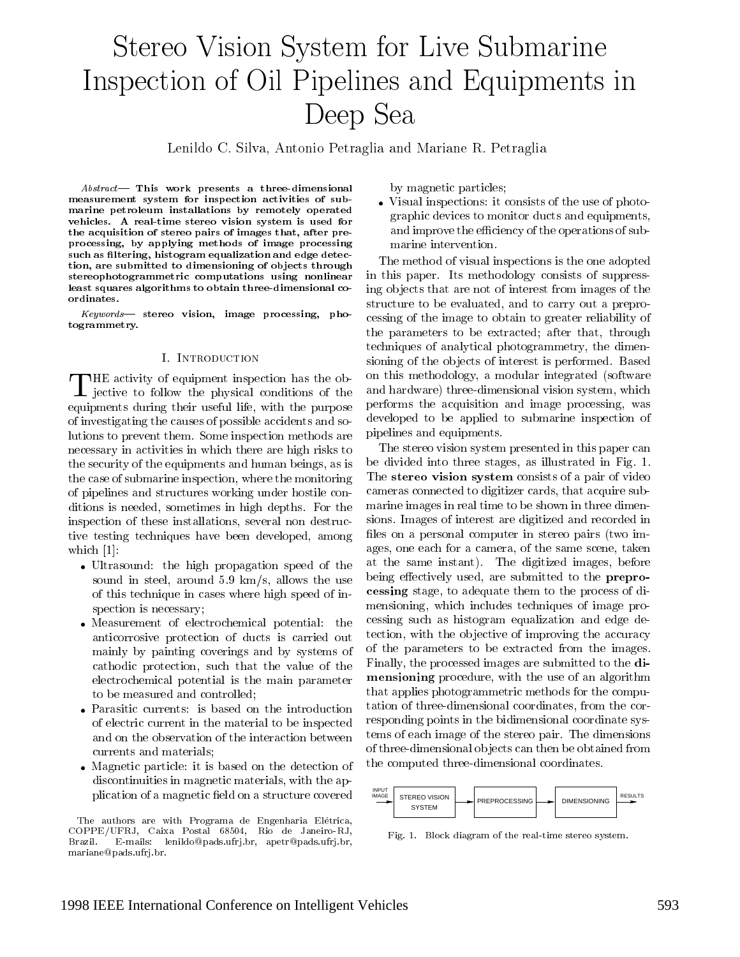# Stereo Vision System for Live Submarine Inspection of Oil Pipelines and Equipments in Deep Sea

Lenildo C. Silva, Antonio Petraglia and Mariane R. Petraglia

 $Abstract$ — This work presents a three-dimensional measurement system for inspection activities of submarine petroleum installations by remotely operated vehicles. A real-time stereo vision system is used for the acquisition of stereo pairs of images that, after preprocessing, by applying methods of image processing such as filtering, histogram equalization and edge detection, are submitted to dimensioning of ob jects through stereophotogrammetric computations using nonlinear least squares algorithms to obtain three-dimensional coordinates.

Keywords| stereo vision, image processing, photogrammetry.

#### **I. INTRODUCTION**

 $\Gamma$  jective to follow the physical conditions of the and  $\Gamma$ equipments during their useful life, with the purpose of investigating the causes of possible accidents and solutions to prevent them. Some inspection methods are necessary in activities in which there are high risks to the security of the equipments and human beings, as is the case of submarine inspection, where the monitoring of pipelines and structures working under hostile conditions is needed, sometimes in high depths. For the inspection of these installations, several non destructive testing techniques have been developed, among which [1]:

- Ultrasound: the high propagation speed of the the sound in steel, around 5.9 km/s, allows the use of this technique in cases where high speed of inspection is necessary;
- Measurement of electrochemical potential: the anticorrosive protection of ducts is carried out mainly by painting coverings and by systems of cathodic protection, such that the value of the electrochemical potential is the main parameter to be measured and controlled;
- Parasitic currents: is based on the introduction of electric current in the material to be inspected and on the observation of the interaction between currents and materials;
- Magnetic particle: it is based on the detection of discontinuities in magnetic materials, with the application of a magnetic field on a structure covered

The authors are with Programa de Engenharia Elétrica, COPPE/UFRJ, Caixa Postal 68504, Rio de Janeiro-RJ, Brazil. E-mails: lenildo@pads.ufrj.br, apetr@pads.ufrj.br, Brazil. mariane@pads.ufrj.br.

by magnetic particles;

 Visual inspections: it consists of the use of photographic devices to monitor ducts and equipments, and improve the efficiency of the operations of submarine intervention.

The method of visual inspections is the one adopted in this paper. Its methodology consists of suppressing ob jects that are not of interest from images of the structure to be evaluated, and to carry out a preprocessing of the image to obtain to greater reliability of the parameters to be extracted; after that, through techniques of analytical photogrammetry, the dimensioning of the objects of interest is performed. Based on this methodology, a modular integrated (software and hardware) three-dimensional vision system, which performs the acquisition and image processing, was developed to be applied to submarine inspection of pipelines and equipments.

The stereo vision system presented in this paper can be divided into three stages, as illustrated in Fig. 1. The stereo vision system consists of a pair of video cameras connected to digitizer cards, that acquire submarine images in real time to be shown in three dimensions. Images of interest are digitized and recorded in files on a personal computer in stereo pairs (two images, one each for a camera, of the same scene, taken at the same instant). The digitized images, before being effectively used, are submitted to the **prepro**cessing stage, to adequate them to the process of dimensioning, which includes techniques of image processing such as histogram equalization and edge detection, with the objective of improving the accuracy of the parameters to be extracted from the images. Finally, the processed images are submitted to the dimensioning procedure, with the use of an algorithm that applies photogrammetric methods for the computation of three-dimensional coordinates, from the corresponding points in the bidimensional coordinate systems of each image of the stereo pair. The dimensions of three-dimensional ob jects can then be obtained from the computed three-dimensional coordinates.



Fig. 1. Block diagram of the real-time stereo system.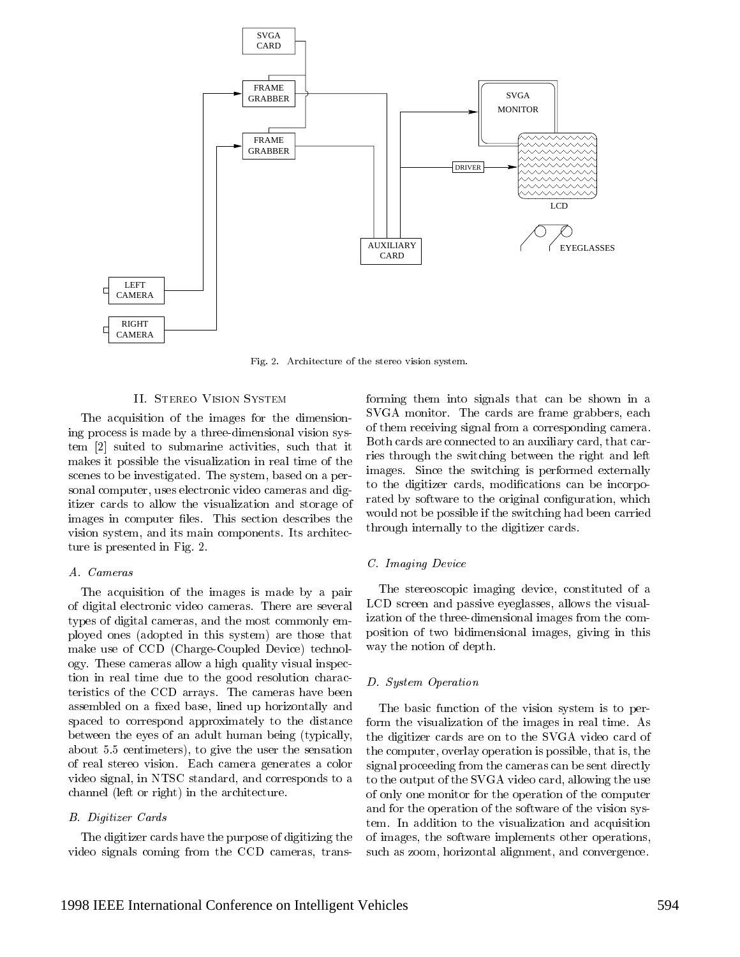

Fig. 2. Architecture of the stereo vision system.

#### II. Stereo Vision System

The acquisition of the images for the dimensioning process is made by a three-dimensional vision system [2] suited to submarine activities, such that it makes it possible the visualization in real time of the scenes to be investigated. The system, based on a personal computer, uses electronic video cameras and digitizer cards to allow the visualization and storage of images in computer files. This section describes the vision system, and its main components. Its architecture is presented in Fig. 2.

# A. Cameras

The acquisition of the images is made by a pair of digital electronic video cameras. There are several types of digital cameras, and the most commonly employed ones (adopted in this system) are those that make use of CCD (Charge-Coupled Device) technology. These cameras allow a high quality visual inspection in real time due to the good resolution characteristics of the CCD arrays. The cameras have been assembled on a fixed base, lined up horizontally and spaced to correspond approximately to the distance between the eyes of an adult human being (typically, about 5.5 centimeters), to give the user the sensation of real stereo vision. Each camera generates a color video signal, in NTSC standard, and corresponds to a channel (left or right) in the architecture.

#### B. Digitizer Cards

The digitizer cards have the purpose of digitizing the video signals coming from the CCD cameras, transforming them into signals that can be shown in a SVGA monitor. The cards are frame grabbers, each of them receiving signal from a corresponding camera. Both cards are connected to an auxiliary card, that carries through the switching between the right and left images. Since the switching is performed externally to the digitizer cards, modifications can be incorporated by software to the original configuration, which would not be possible if the switching had been carried through internally to the digitizer cards.

# C. Imaging Device

The stereoscopic imaging device, constituted of a LCD screen and passive eyeglasses, allows the visualization of the three-dimensional images from the composition of two bidimensional images, giving in this way the notion of depth.

#### D. System Operation

The basic function of the vision system is to perform the visualization of the images in real time. As the digitizer cards are on to the SVGA video card of the computer, overlay operation is possible, that is, the signal proceeding from the cameras can be sent directly to the output of the SVGA video card, allowing the use of only one monitor for the operation of the computer and for the operation of the software of the vision system. In addition to the visualization and acquisition of images, the software implements other operations, such as zoom, horizontal alignment, and convergence.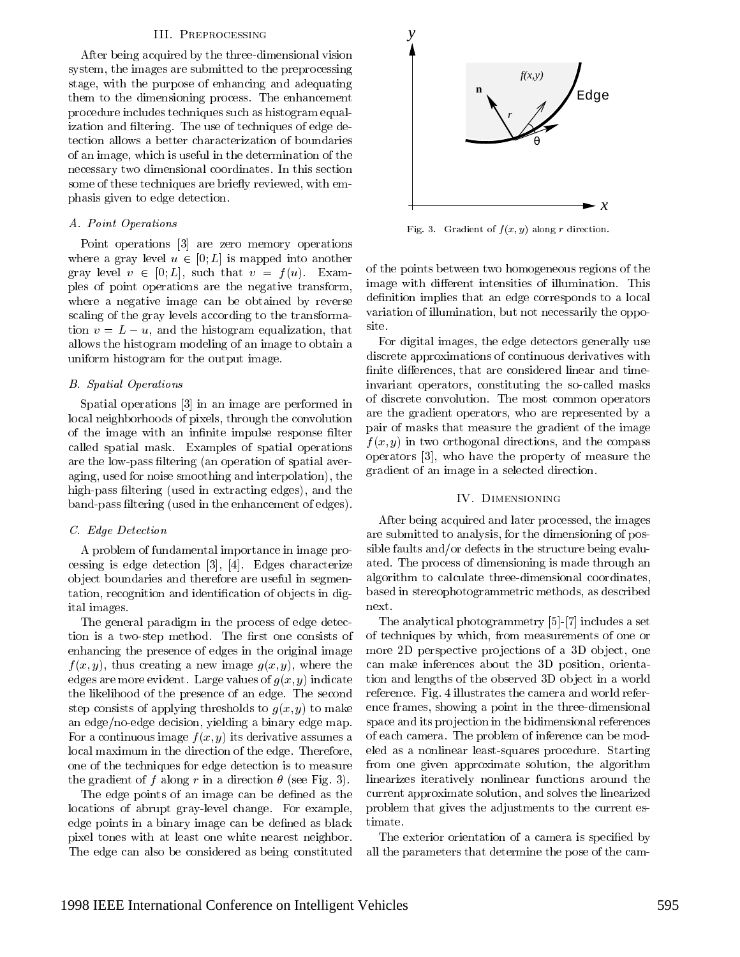#### III. Preprocessing

After being acquired by the three-dimensional vision system, the images are submitted to the preprocessing stage, with the purpose of enhancing and adequating them to the dimensioning process. The enhancement procedure includes techniques such as histogram equalization and filtering. The use of techniques of edge detection allows a better characterization of boundaries of an image, which is useful in the determination of the necessary two dimensional coordinates. In this section some of these techniques are briefly reviewed, with emphasis given to edge detection.

# A. Point Operations

Point operations [3] are zero memory operations where a gray level  $u \in [0; L]$  is mapped into another gray level  $v \in [0; L]$ , such that  $v = f(u)$ . Examples of point operations are the negative transform, where a negative image can be obtained by reverse scaling of the gray levels according to the transformation  $v = L - u$ , and the histogram equalization, that allows the histogram modeling of an image to obtain a uniform histogram for the output image.

#### B. Spatial Operations

Spatial operations [3] in an image are performed in local neighborhoods of pixels, through the convolution of the image with an infinite impulse response filter called spatial mask. Examples of spatial operations are the low-pass ltering (an operation of spatial averaging, used for noise smoothing and interpolation), the high-pass filtering (used in extracting edges), and the band-pass ltering (used in the enhancement of edges).

#### C. Edge Detection

A problem of fundamental importance in image processing is edge detection [3], [4]. Edges characterize ob ject boundaries and therefore are useful in segmentation, recognition and identification of objects in digital images.

The general paradigm in the process of edge detection is a two-step method. The first one consists of enhancing the presence of edges in the original image  $f(x, y)$ , thus creating a new image  $g(x, y)$ , where the edges are more evident. Large values of  $g(x, y)$  indicate the likelihood of the presence of an edge. The second step consists of applying thresholds to  $g(x, y)$  to make an edge/no-edge decision, yielding a binary edge map. For a continuous image  $f(x, y)$  its derivative assumes a local maximum in the direction of the edge. Therefore, one of the techniques for edge detection is to measure the gradient of f along r in a direction  $\theta$  (see Fig. 3).

The edge points of an image can be defined as the locations of abrupt gray-level change. For example, edge points in a binary image can be defined as black pixel tones with at least one white nearest neighbor. The edge can also be considered as being constituted



Fig. 3. Gradient of  $f(x, y)$  along r direction.

of the points between two homogeneous regions of the image with different intensities of illumination. This definition implies that an edge corresponds to a local variation of illumination, but not necessarily the opposite.

For digital images, the edge detectors generally use discrete approximations of continuous derivatives with finite differences, that are considered linear and timeinvariant operators, constituting the so-called masks of discrete convolution. The most common operators are the gradient operators, who are represented by a pair of masks that measure the gradient of the image  $f(x, y)$  in two orthogonal directions, and the compass operators [3], who have the property of measure the gradient of an image in a selected direction.

#### IV. Dimensioning

After being acquired and later processed, the images are submitted to analysis, for the dimensioning of possible faults and/or defects in the structure being evaluated. The process of dimensioning is made through an algorithm to calculate three-dimensional coordinates, based in stereophotogrammetric methods, as described next.

The analytical photogrammetry [5]-[7] includes a set of techniques by which, from measurements of one or more 2D perspective projections of a 3D object, one can make inferences about the 3D position, orientation and lengths of the observed 3D object in a world reference. Fig. 4 illustrates the camera and world reference frames, showing a point in the three-dimensional space and its projection in the bidimensional references of each camera. The problem of inference can be modeled as a nonlinear least-squares procedure. Starting from one given approximate solution, the algorithm linearizes iteratively nonlinear functions around the current approximate solution, and solves the linearized problem that gives the adjustments to the current estimate.

The exterior orientation of a camera is specified by all the parameters that determine the pose of the cam-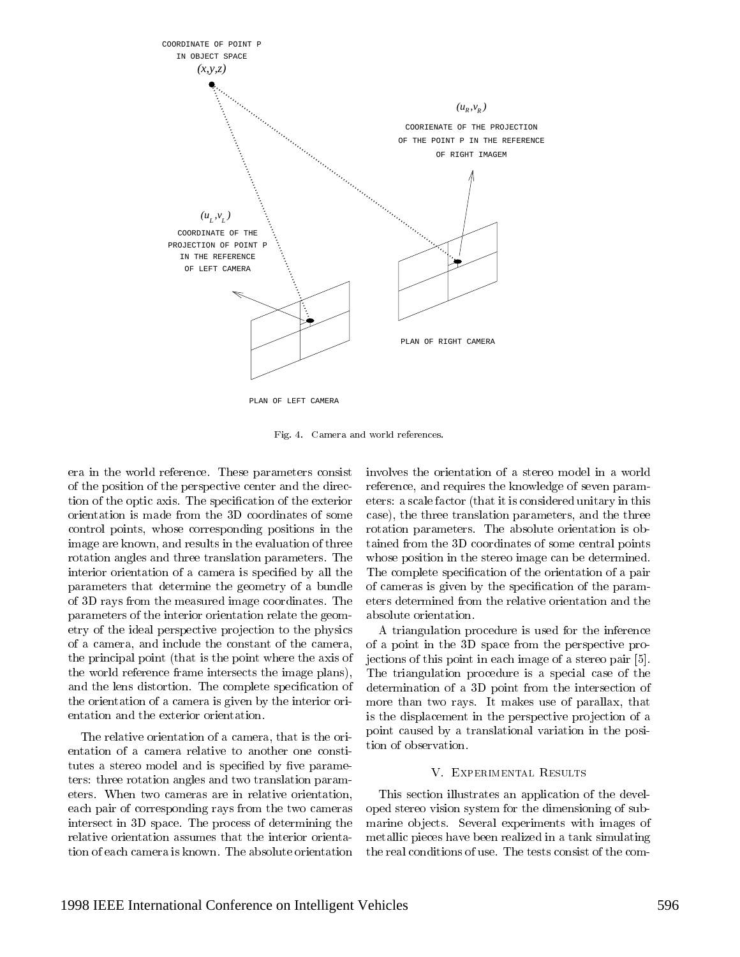

PLAN OF LEFT CAMERA

Fig. 4. Camera and world references.

era in the world reference. These parameters consist of the position of the perspective center and the direction of the optic axis. The specification of the exterior eters: a scale factor (that it is considered unitary in this orientation is made from the 3D coordinates of some control points, whose corresponding positions in the image are known, and results in the evaluation of three rotation angles and three translation parameters. The interior orientation of a camera is specied by all the parameters that determine the geometry of a bundle of 3D rays from the measured image coordinates. The parameters of the interior orientation relate the geometry of the ideal perspective projection to the physics of a camera, and include the constant of the camera, the principal point (that is the point where the axis of the world reference frame intersects the image plans), and the lens distortion. The complete specification of the orientation of a camera is given by the interior orientation and the exterior orientation.

The relative orientation of a camera, that is the orientation of a camera relative to another one constitutes a stereo model and is specified by five parameters: three rotation angles and two translation parameters. When two cameras are in relative orientation, each pair of corresponding rays from the two cameras intersect in 3D space. The process of determining the relative orientation assumes that the interior orientation of each camera is known. The absolute orientation

involves the orientation of a stereo model in a world reference, and requires the knowledge of seven parameters: a scale factor (that it is considered unitary in this case), the three translation parameters, and the three rotation parameters. The absolute orientation is obtained from the 3D coordinates of some central points whose position in the stereo image can be determined. The complete specification of the orientation of a pair of cameras is given by the specication of the parameters determined from the relative orientation and the absolute orientation.

A triangulation procedure is used for the inference of a point in the 3D space from the perspective projections of this point in each image of a stereo pair [5]. The triangulation procedure is a special case of the determination of a 3D point from the intersection of more than two rays. It makes use of parallax, that is the displacement in the perspective projection of a point caused by a translational variation in the position of observation.

#### V. EXPERIMENTAL RESULTS

This section illustrates an application of the developed stereo vision system for the dimensioning of submarine objects. Several experiments with images of metallic pieces have been realized in a tank simulating the real conditions of use. The tests consist of the com-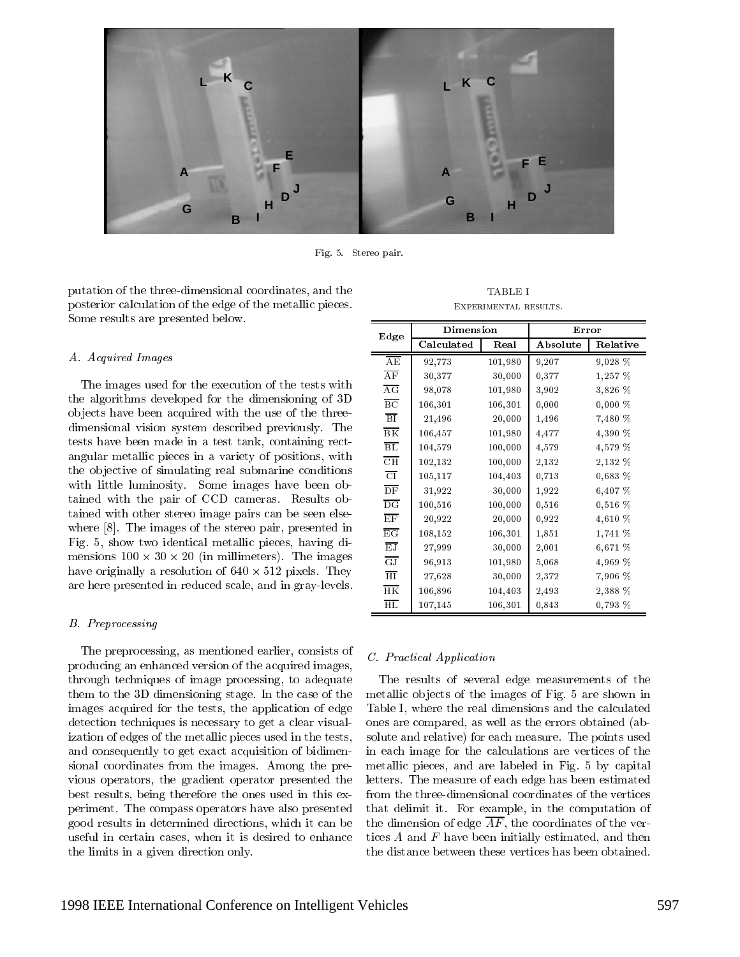

Fig. 5. Stereo pair.

putation of the three-dimensional coordinates, and the posterior calculation of the edge of the metallic pieces. Some results are presented below.

#### A. Acquired Images

The images used for the execution of the tests with the algorithms developed for the dimensioning of 3D ob jects have been acquired with the use of the threedimensional vision system described previously. The tests have been made in a test tank, containing rectangular metallic pieces in a variety of positions, with the ob jective of simulating real submarine conditions with little luminosity. Some images have been obtained with the pair of CCD cameras. Results obtained with other stereo image pairs can be seen elsewhere [8]. The images of the stereo pair, presented in Fig. 5, show two identical metallic pieces, having dimensions 100 - 100 - 100 - 100 - 100 - 100 - 100 - 100 - 100 - 100 - 100 - 100 - 100 - 100 - 100 - 100 - 100 - 1 have originally a resolution of 640 - 512 pixels. They are here presented in reduced scale, and in gray-levels.

#### B. Preprocessing

The preprocessing, as mentioned earlier, consists of producing an enhanced version of the acquired images, through techniques of image processing, to adequate them to the 3D dimensioning stage. In the case of the images acquired for the tests, the application of edge detection techniques is necessary to get a clear visualization of edges of the metallic pieces used in the tests, and consequently to get exact acquisition of bidimensional coordinates from the images. Among the previous operators, the gradient operator presented the best results, being therefore the ones used in this experiment. The compass operators have also presented good results in determined directions, which it can be useful in certain cases, when it is desired to enhance the limits in a given direction only.

| <b>TABLE I</b>       |  |
|----------------------|--|
| EXPERIMENTAL RESULTS |  |

|                          | Dimension  |         | Error    |           |
|--------------------------|------------|---------|----------|-----------|
| Edge                     | Calculated | Real    | Absolute | Relative  |
| AE                       | 92,773     | 101,980 | 9,207    | 9,028 %   |
| AF                       | 30,377     | 30,000  | 0,377    | 1,257 %   |
| AG                       | 98,078     | 101,980 | 3,902    | 3,826 %   |
| $_{\rm BC}$              | 106,301    | 106,301 | 0,000    | $0,000\%$ |
| $\overline{BI}$          | 21,496     | 20,000  | 1,496    | 7,480 %   |
| $\overline{\rm BK}$      | 106,457    | 101,980 | 4,477    | 4,390 %   |
| $\overline{\mathrm{BL}}$ | 104,579    | 100,000 | 4,579    | 4,579 %   |
| $\overline{\text{CH}}$   | 102,132    | 100,000 | 2,132    | 2,132 %   |
| $\overline{\text{CI}}$   | 105,117    | 104,403 | 0,713    | 0,683~%   |
| $\overline{DF}$          | 31,922     | 30,000  | 1,922    | 6,407 %   |
| $\overline{\mathrm{DG}}$ | 100,516    | 100,000 | 0,516    | $0,516\%$ |
| EF                       | 20,922     | 20,000  | 0,922    | 4,610 %   |
| $\overline{\mathrm{EG}}$ | 108,152    | 106,301 | 1,851    | 1,741 %   |
| EJ                       | 27,999     | 30,000  | 2,001    | 6,671 %   |
| $\overline{\text{GJ}}$   | 96,913     | 101,980 | 5,068    | 4,969 %   |
| $\overline{\rm HI}$      | 27,628     | 30,000  | 2,372    | 7,906 %   |
| $\overline{\text{HK}}$   | 106,896    | 104,403 | 2,493    | 2,388 %   |
| $\overline{\mathrm{HL}}$ | 107,145    | 106,301 | 0,843    | 0.793~%   |

# C. Practical Application

The results of several edge measurements of the metallic ob jects of the images of Fig. 5 are shown in Table I, where the real dimensions and the calculated ones are compared, as well as the errors obtained (absolute and relative) for each measure. The points used in each image for the calculations are vertices of the metallic pieces, and are labeled in Fig. 5 by capital letters. The measure of each edge has been estimated that delimit it. For example, in the computation of the dimension of edge  $\overline{AF}$ , the coordinates of the vertices  $A$  and  $F$  have been initially estimated, and then the distance between these vertices has been obtained.